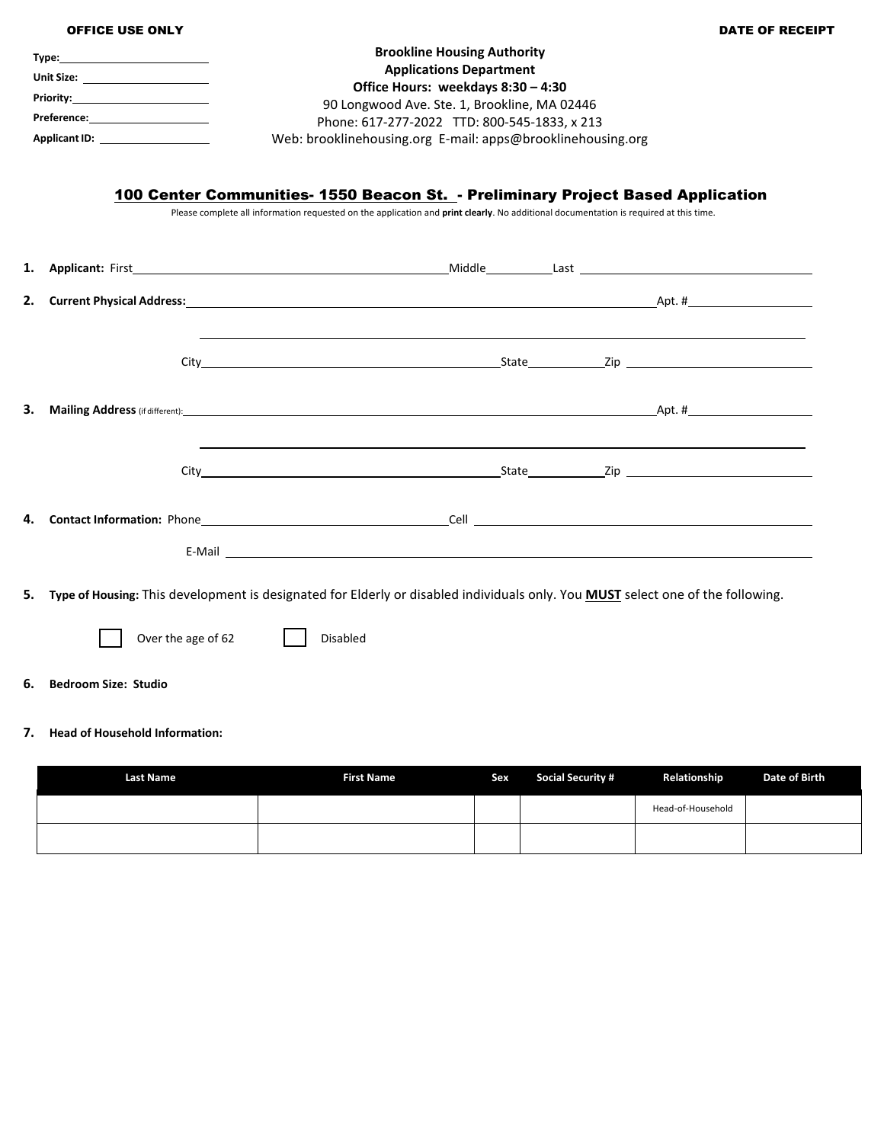|    | <b>OFFICE USE ONLY</b>                                                                                                                                                                                                                                                                                                                                                                                                                                                        |                 |                                                                                                                                                                                                                                                                           |  | <b>DATE OF RECEIPT</b> |
|----|-------------------------------------------------------------------------------------------------------------------------------------------------------------------------------------------------------------------------------------------------------------------------------------------------------------------------------------------------------------------------------------------------------------------------------------------------------------------------------|-----------------|---------------------------------------------------------------------------------------------------------------------------------------------------------------------------------------------------------------------------------------------------------------------------|--|------------------------|
|    | Unit Size: the contract of the contract of the contract of the contract of the contract of the contract of the<br><b>Priority:</b> The contract of the contract of the contract of the contract of the contract of the contract of the contract of the contract of the contract of the contract of the contract of the contract of the contract of th<br>Applicant ID: ___________________<br>100 Center Communities- 1550 Beacon St. - Preliminary Project Based Application |                 | <b>Brookline Housing Authority</b><br><b>Applications Department</b><br>Office Hours: weekdays 8:30 - 4:30<br>90 Longwood Ave. Ste. 1, Brookline, MA 02446<br>Phone: 617-277-2022 TTD: 800-545-1833, x 213<br>Web: brooklinehousing.org E-mail: apps@brooklinehousing.org |  |                        |
|    |                                                                                                                                                                                                                                                                                                                                                                                                                                                                               |                 | Please complete all information requested on the application and print clearly. No additional documentation is required at this time.                                                                                                                                     |  |                        |
| 1. |                                                                                                                                                                                                                                                                                                                                                                                                                                                                               |                 |                                                                                                                                                                                                                                                                           |  |                        |
| 2. |                                                                                                                                                                                                                                                                                                                                                                                                                                                                               |                 |                                                                                                                                                                                                                                                                           |  |                        |
|    |                                                                                                                                                                                                                                                                                                                                                                                                                                                                               |                 |                                                                                                                                                                                                                                                                           |  |                        |
| З. | <b>Mailing Address</b> (if different): Apply and the set of the set of the set of the set of the set of the set of the set of the set of the set of the set of the set of the set of the set of the set of the set of the set of th                                                                                                                                                                                                                                           |                 |                                                                                                                                                                                                                                                                           |  |                        |
|    |                                                                                                                                                                                                                                                                                                                                                                                                                                                                               |                 | <u> 1989 - Johann Stoff, amerikansk politiker (d. 1989)</u>                                                                                                                                                                                                               |  |                        |
| 4. |                                                                                                                                                                                                                                                                                                                                                                                                                                                                               |                 | E-Mail <u>the community of the community of the community of the community of the community of the community of the community of the community of the community of the community of the community of the community of the commun</u>                                      |  |                        |
| 5. | Type of Housing: This development is designated for Elderly or disabled individuals only. You MUST select one of the following.                                                                                                                                                                                                                                                                                                                                               |                 |                                                                                                                                                                                                                                                                           |  |                        |
|    | Over the age of 62                                                                                                                                                                                                                                                                                                                                                                                                                                                            | <b>Disabled</b> |                                                                                                                                                                                                                                                                           |  |                        |
| 6. | <b>Bedroom Size: Studio</b>                                                                                                                                                                                                                                                                                                                                                                                                                                                   |                 |                                                                                                                                                                                                                                                                           |  |                        |

## **7. Head of Household Information:**

| <b>Last Name</b> | <b>First Name</b> | Sex | <b>Social Security #</b> | Relationship      | Date of Birth |
|------------------|-------------------|-----|--------------------------|-------------------|---------------|
|                  |                   |     |                          | Head-of-Household |               |
|                  |                   |     |                          |                   |               |